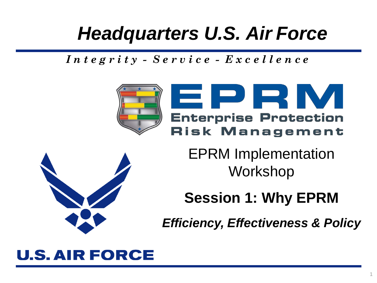# *Headquarters U.S. Air Force*

*I n t e g r i t y - S e r v i c e - E x c e l l e n c e*





**Session 1: Why EPRM**

*Efficiency, Effectiveness & Policy*

## **U.S. AIR FORCE**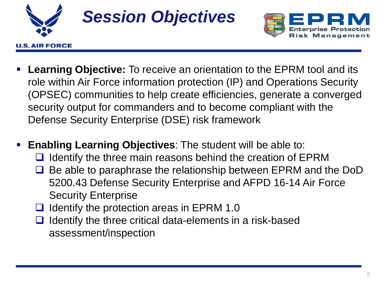

U.S. AIR FORCE



- **Learning Objective:** To receive an orientation to the EPRM tool and its role within Air Force information protection (IP) and Operations Security (OPSEC) communities to help create efficiencies, generate a converged security output for commanders and to become compliant with the Defense Security Enterprise (DSE) risk framework
- **Enabling Learning Objectives**: The student will be able to:
	- $\Box$  Identify the three main reasons behind the creation of EPRM
	- **□** Be able to paraphrase the relationship between EPRM and the DoD 5200.43 Defense Security Enterprise and AFPD 16-14 Air Force Security Enterprise
	- $\Box$  Identify the protection areas in EPRM 1.0
	- $\Box$  Identify the three critical data-elements in a risk-based assessment/inspection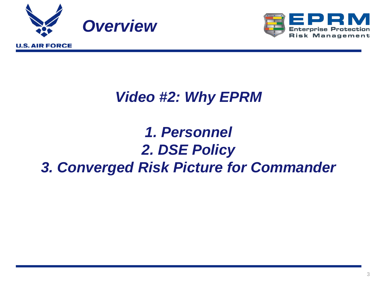



## *Video #2: Why EPRM*

## *1. Personnel 2. DSE Policy 3. Converged Risk Picture for Commander*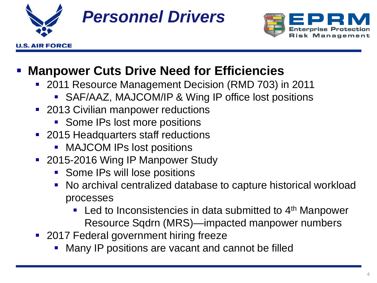

U.S. AIR FORCE



### **Manpower Cuts Drive Need for Efficiencies**

- **2011 Resource Management Decision (RMD 703) in 2011** 
	- SAF/AAZ, MAJCOM/IP & Wing IP office lost positions
- **2013 Civilian manpower reductions** 
	- **Some IPs lost more positions**
- 2015 Headquarters staff reductions
	- **MAJCOM IPs lost positions**
- 2015-2016 Wing IP Manpower Study
	- **Some IPs will lose positions**
	- No archival centralized database to capture historical workload processes
		- **Led to Inconsistencies in data submitted to**  $4<sup>th</sup>$  **Manpower** Resource Sqdrn (MRS)—impacted manpower numbers
- **2017 Federal government hiring freeze** 
	- Many IP positions are vacant and cannot be filled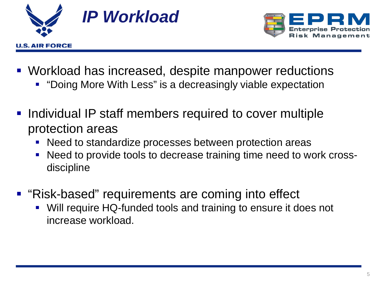



- Workload has increased, despite manpower reductions
	- "Doing More With Less" is a decreasingly viable expectation
- **Individual IP staff members required to cover multiple** protection areas
	- Need to standardize processes between protection areas
	- Need to provide tools to decrease training time need to work crossdiscipline
- "Risk-based" requirements are coming into effect
	- Will require HQ-funded tools and training to ensure it does not increase workload.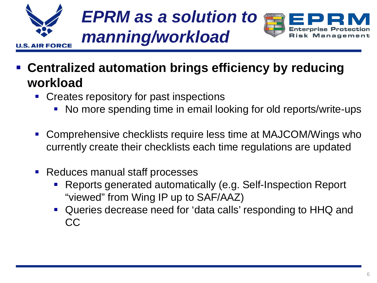

- **Centralized automation brings efficiency by reducing workload**
	- **Creates repository for past inspections** 
		- No more spending time in email looking for old reports/write-ups
	- Comprehensive checklists require less time at MAJCOM/Wings who currently create their checklists each time regulations are updated
	- Reduces manual staff processes
		- Reports generated automatically (e.g. Self-Inspection Report "viewed" from Wing IP up to SAF/AAZ)
		- Queries decrease need for 'data calls' responding to HHQ and CC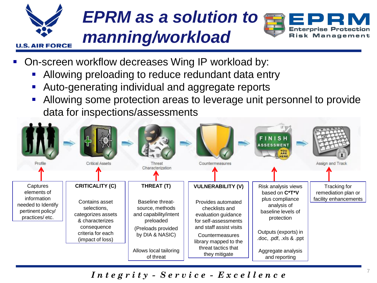

# *EPRM as a solution to manning/workload*



- On-screen workflow decreases Wing IP workload by:
	- Allowing preloading to reduce redundant data entry
	- Auto-generating individual and aggregate reports
	- Allowing some protection areas to leverage unit personnel to provide data for inspections/assessments



*I n t e g r i t y - S e r v i c e - E x c e l l e n c e*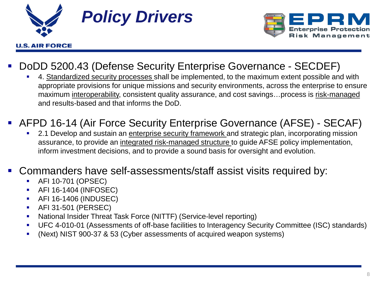



#### DoDD 5200.43 (Defense Security Enterprise Governance - SECDEF)

 4. Standardized security processes shall be implemented, to the maximum extent possible and with appropriate provisions for unique missions and security environments, across the enterprise to ensure maximum interoperability, consistent quality assurance, and cost savings…process is risk-managed and results-based and that informs the DoD.

#### AFPD 16-14 (Air Force Security Enterprise Governance (AFSE) - SECAF)

 2.1 Develop and sustain an enterprise security framework and strategic plan, incorporating mission assurance, to provide an integrated risk-managed structure to guide AFSE policy implementation, inform investment decisions, and to provide a sound basis for oversight and evolution.

#### Commanders have self-assessments/staff assist visits required by:

- AFI 10-701 (OPSEC)
- AFI 16-1404 (INFOSEC)
- AFI 16-1406 (INDUSEC)
- AFI 31-501 (PERSEC)
- National Insider Threat Task Force (NITTF) (Service-level reporting)
- UFC 4-010-01 (Assessments of off-base facilities to Interagency Security Committee (ISC) standards)
- (Next) NIST 900-37 & 53 (Cyber assessments of acquired weapon systems)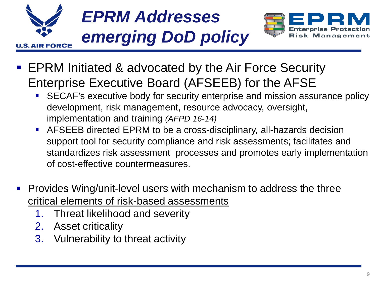



- EPRM Initiated & advocated by the Air Force Security Enterprise Executive Board (AFSEEB) for the AFSE
	- SECAF's executive body for security enterprise and mission assurance policy development, risk management, resource advocacy, oversight, implementation and training *(AFPD 16-14)*
	- AFSEEB directed EPRM to be a cross-disciplinary, all-hazards decision support tool for security compliance and risk assessments; facilitates and standardizes risk assessment processes and promotes early implementation of cost-effective countermeasures.
- Provides Wing/unit-level users with mechanism to address the three critical elements of risk-based assessments
	- 1. Threat likelihood and severity
	- 2. Asset criticality
	- 3. Vulnerability to threat activity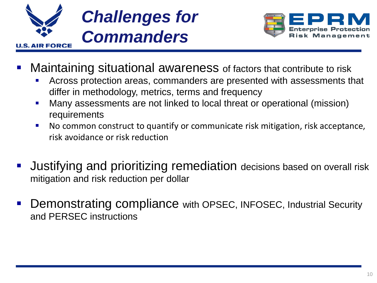



- Maintaining situational awareness of factors that contribute to risk
	- Across protection areas, commanders are presented with assessments that differ in methodology, metrics, terms and frequency
	- Many assessments are not linked to local threat or operational (mission) requirements
	- No common construct to quantify or communicate risk mitigation, risk acceptance, risk avoidance or risk reduction
- Justifying and prioritizing remediation decisions based on overall risk mitigation and risk reduction per dollar
- Demonstrating compliance with OPSEC, INFOSEC, Industrial Security and PERSEC instructions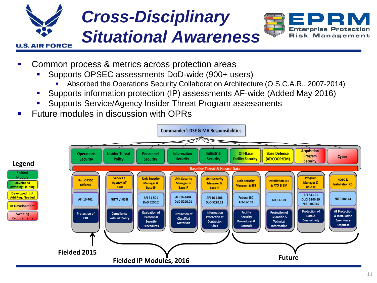

- Common process & metrics across protection areas
	- Supports OPSEC assessments DoD-wide (900+ users)
		- Absorbed the Operations Security Collaboration Architecture (O.S.C.A.R., 2007-2014)
	- Supports information protection (IP) assessments AF-wide (Added May 2016)
	- Supports Service/Agency Insider Threat Program assessments
- Future modules in discussion with OPRs

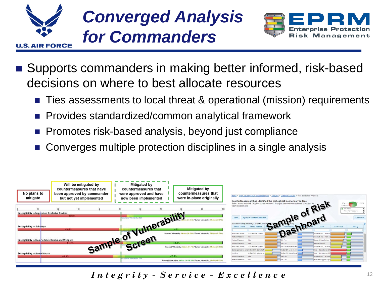



- Supports commanders in making better informed, risk-based decisions on where to best allocate resources
	- Ties assessments to local threat & operational (mission) requirements
	- Provides standardized/common analytical framework
	- Promotes risk-based analysis, beyond just compliance
	- Converges multiple protection disciplines in a single analysis



*Integrity -*  $S$  *ervice -*  $E$  *x c e l l e n c e* 12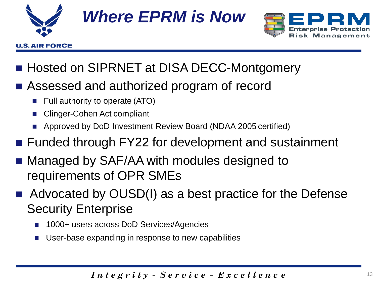

# *Where EPRM is Now*



- Hosted on SIPRNET at DISA DECC-Montgomery
- Assessed and authorized program of record
	- Full authority to operate (ATO)
	- Clinger-Cohen Act compliant
	- Approved by DoD Investment Review Board (NDAA 2005 certified)
- Funded through FY22 for development and sustainment
- Managed by SAF/AA with modules designed to requirements of OPR SMEs
- Advocated by OUSD(I) as a best practice for the Defense Security Enterprise
	- 1000+ users across DoD Services/Agencies
	- User-base expanding in response to new capabilities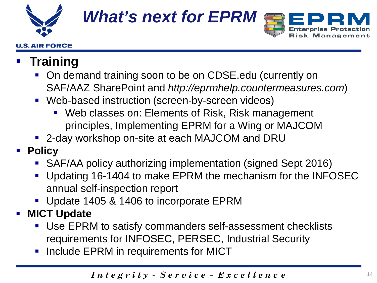

**U.S. AIR FORCE** 

*What's next for EPRM*



### **Training**

- On demand training soon to be on CDSE edu (currently on SAF/AAZ SharePoint and *http://eprmhelp.countermeasures.com*)
- Web-based instruction (screen-by-screen videos)
	- **Web classes on: Elements of Risk, Risk management** principles, Implementing EPRM for a Wing or MAJCOM
- 2-day workshop on-site at each MAJCOM and DRU
- **Policy** 
	- SAF/AA policy authorizing implementation (signed Sept 2016)
	- **Updating 16-1404 to make EPRM the mechanism for the INFOSEC** annual self-inspection report
	- Update 1405 & 1406 to incorporate EPRM

### **MICT Update**

- Use EPRM to satisfy commanders self-assessment checklists requirements for INFOSEC, PERSEC, Industrial Security
- **Include EPRM in requirements for MICT**